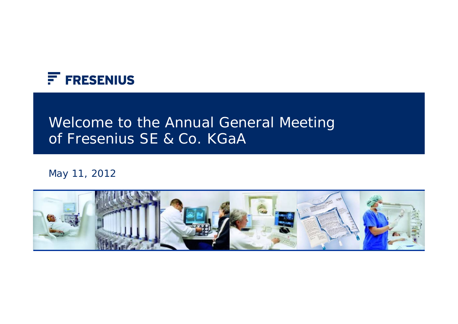

# Welcome to the Annual General Meeting of Fresenius SE & Co. KGaA

#### May 11, 2012

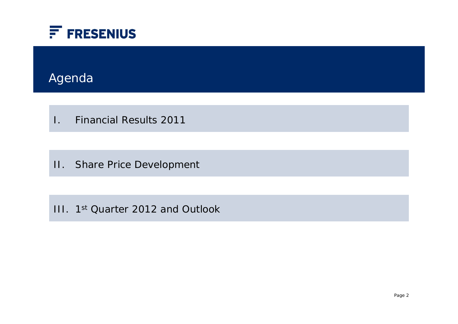

## Agenda

I. Financial Results 2011

II. Share Price Development

III. 1st Quarter 2012 and Outlook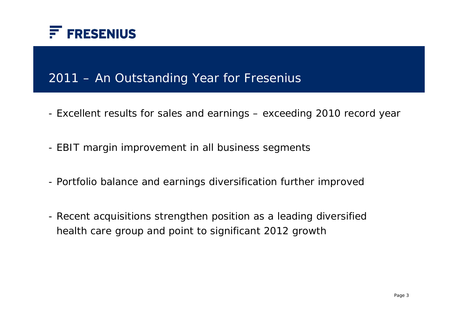

### 2011 – An Outstanding Year for Fresenius

- Excellent results for sales and earnings exceeding 2010 record year
- EBIT margin improvement in all business segments
- Portfolio balance and earnings diversification further improved
- Recent acquisitions strengthen position as a leading diversified health care group and point to significant 2012 growth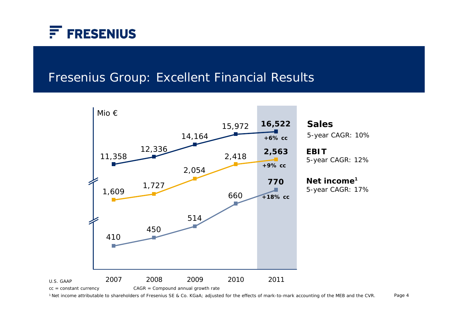

#### Fresenius Group: Excellent Financial Results



**Sales**5-year CAGR: 10%

**EBIT**5-year CAGR: 12%

**Net income<sup>1</sup>** 5-year CAGR: 17%

Page 4 1 Net income attributable to shareholders of Fresenius SE & Co. KGaA; adjusted for the effects of mark-to-mark accounting of the MEB and the CVR.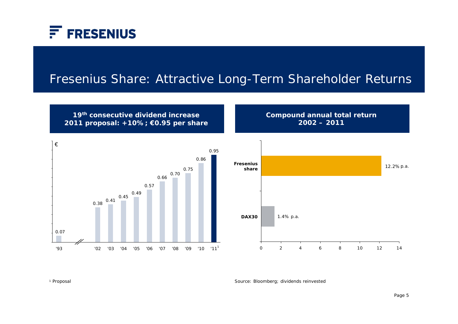

#### Fresenius Share: Attractive Long-Term Shareholder Returns



Source: Bloomberg; dividends reinvested 1 Proposal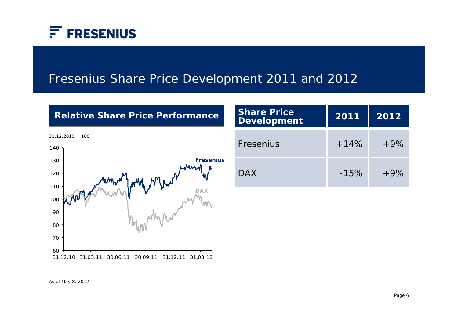

#### Fresenius Share Price Development 2011 and 2012

#### **Relative Share Price Performance**



| <b>Share Price</b><br><b>Development</b> | 2011   | 2012  |
|------------------------------------------|--------|-------|
| Fresenius                                | $+14%$ | $+9%$ |
| <b>DAX</b>                               | $-15%$ | $+9%$ |

As of May 8, 2012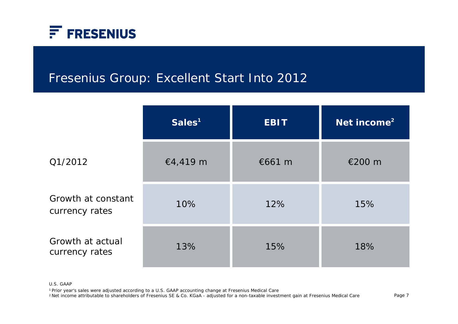

### Fresenius Group: Excellent Start Into 2012

|                                      | Sales <sup>1</sup> | <b>EBIT</b> | Net income <sup>2</sup> |
|--------------------------------------|--------------------|-------------|-------------------------|
| Q1/2012                              | €4,419 m           | €661 $m$    | €200 m                  |
| Growth at constant<br>currency rates | 10%                | 12%         | 15%                     |
| Growth at actual<br>currency rates   | 13%                | 15%         | 18%                     |

U.S. GAAP

1 Prior year's sales were adjusted according to a U.S. GAAP accounting change at Fresenius Medical Care

2 Net income attributable to shareholders of Fresenius SE & Co. KGaA - adjusted for a non-taxable investment gain at Fresenius Medical Care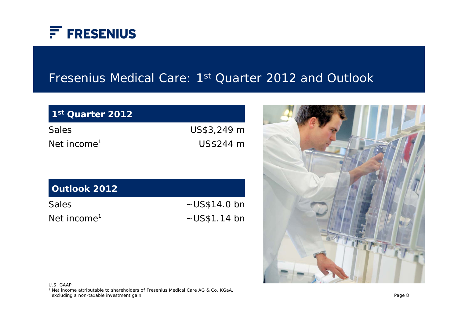

#### Fresenius Medical Care: 1st Quarter 2012 and Outlook

| 1st Quarter 2012        |             |
|-------------------------|-------------|
| <b>Sales</b>            | US\$3,249 m |
| Net income <sup>1</sup> | US\$244 m   |

| Outlook 2012            |                     |
|-------------------------|---------------------|
| <b>Sales</b>            | $\sim U$ S\$14.0 bn |
| Net income <sup>1</sup> | $\sim$ US\$1.14 bn  |



U.S. GAAP

1 Net income attributable to shareholders of Fresenius Medical Care AG & Co. KGaA, excluding a non-taxable investment gain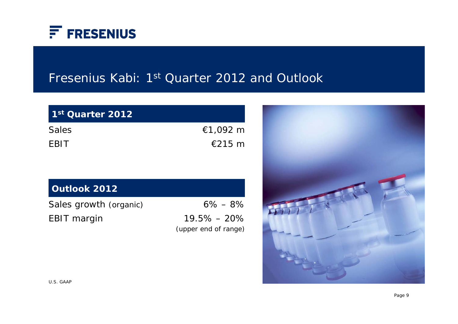

### Fresenius Kabi: 1<sup>st</sup> Quarter 2012 and Outlook

| 1st Quarter 2012 |                  |
|------------------|------------------|
| <b>Sales</b>     | €1,092 m         |
| <b>FBIT</b>      | $\epsilon$ 215 m |

#### **Outlook 2012**

Sales growth (organic) EBIT margin

6% – 8% 19.5% – 20% (upper end of range)

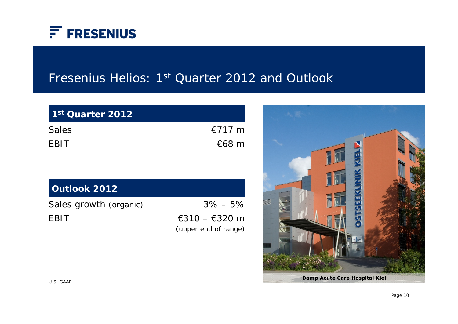

### Fresenius Helios: 1<sup>st</sup> Quarter 2012 and Outlook

| 1 <sup>st</sup> Quarter 2012 |                 |
|------------------------------|-----------------|
| <b>Sales</b>                 | $€717$ m        |
| <b>FBIT</b>                  | $\epsilon$ 68 m |

| <b>Outlook 2012</b> |  |
|---------------------|--|
|                     |  |

Sales growth (organic)

EBIT

3% – 5% €310 – €320 m (upper end of range)

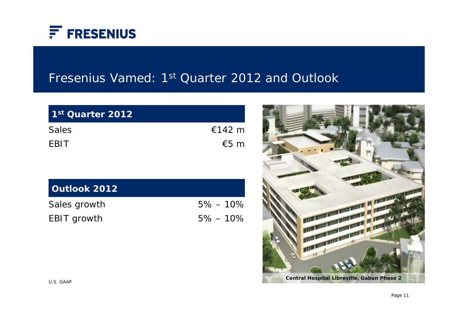

### Fresenius Vamed: 1<sup>st</sup> Quarter 2012 and Outlook

| 1st Quarter 2012 |        |
|------------------|--------|
| <b>Sales</b>     | €142 m |
| <b>FBIT</b>      | €5 $m$ |

| Outlook 2012       |              |
|--------------------|--------------|
| Sales growth       | $5\% - 10\%$ |
| <b>EBIT</b> growth | $5\% - 10\%$ |

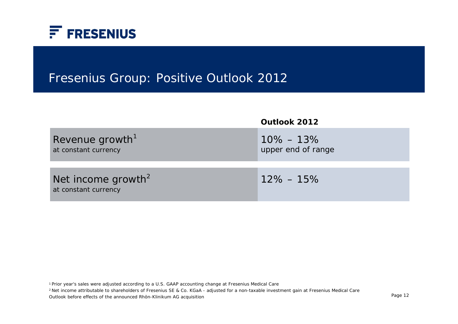

### Fresenius Group: Positive Outlook 2012

|                                                        | Outlook 2012                        |
|--------------------------------------------------------|-------------------------------------|
| Revenue growth <sup>1</sup><br>at constant currency    | $10\% - 13\%$<br>upper end of range |
| Net income growth <sup>2</sup><br>at constant currency | $12\% - 15\%$                       |

1 Prior year's sales were adjusted according to a U.S. GAAP accounting change at Fresenius Medical Care

2 Net income attributable to shareholders of Fresenius SE & Co. KGaA - adjusted for a non-taxable investment gain at Fresenius Medical Care

Outlook before effects of the announced Rhön-Klinikum AG acquisition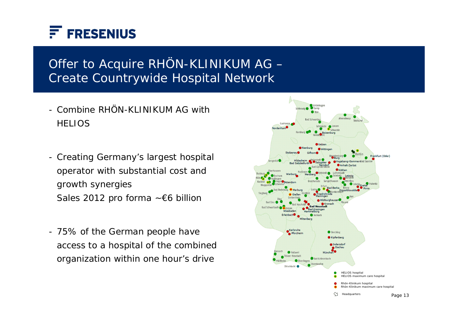

## Offer to Acquire RHÖN-KLINIKUM AG – Create Countrywide Hospital Network

- Combine RHÖN-KLINIKUM AG with **HELIOS**
- Creating Germany's largest hospital operator with substantial cost and growth synergies Sales 2012 pro forma ~€6 billion
- 75% of the German people have access to a hospital of the combined organization within one hour's drive

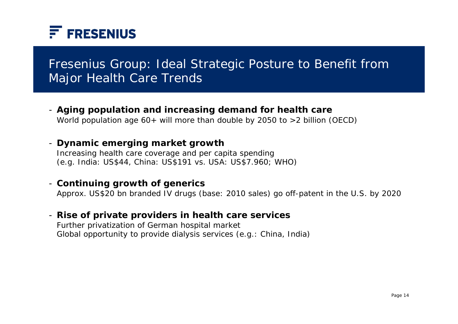

## Fresenius Group: Ideal Strategic Posture to Benefit from Major Health Care Trends

- **Aging population and increasing demand for health care** World population age 60+ will more than double by 2050 to >2 billion (OECD)

#### - **Dynamic emerging market growth**

Increasing health care coverage and per capita spending (e.g. India: US\$44, China: US\$191 vs. USA: US\$7.960; WHO)

#### - **Continuing growth of generics**

Approx. US\$20 bn branded IV drugs (base: 2010 sales) go off-patent in the U.S. by 2020

#### - **Rise of private providers in health care services**

Further privatization of German hospital market Global opportunity to provide dialysis services (e.g.: China, India)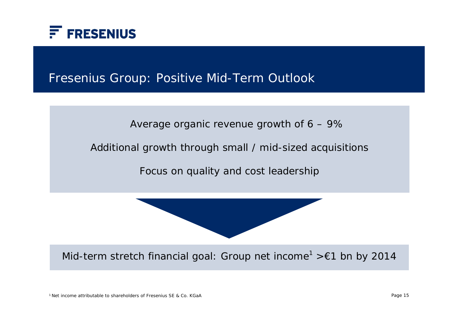

#### Fresenius Group: Positive Mid-Term Outlook



Additional growth through small / mid-sized acquisitions

Focus on quality and cost leadership

Mid-term stretch financial goal: Group net income<sup>1</sup> >  $\epsilon$ 1 bn by 2014

1 Net income attributable to shareholders of Fresenius SE & Co. KGaA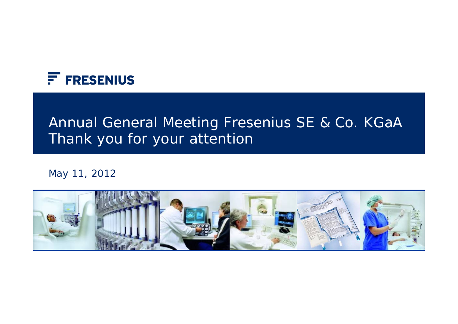

# Annual General Meeting Fresenius SE & Co. KGaA Thank you for your attention

May 11, 2012

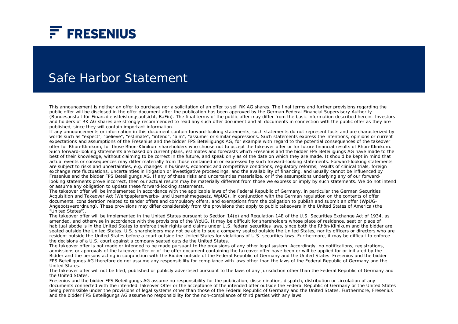

#### Safe Harbor Statement

This announcement is neither an offer to purchase nor a solicitation of an offer to sell RK AG shares. The final terms and further provisions regarding the public offer will be disclosed in the offer document after the publication has been approved by the German Federal Financial Supervisory Authority (Bundesanstalt für Finanzdienstleistungsaufsicht, BaFin). The final terms of the public offer may differ from the basic information described herein. Investors and holders of RK AG shares are strongly recommended to read any such offer document and all documents in connection with the public offer as they are published, since they will contain important information.

If any announcements or information in this document contain forward-looking statements, such statements do not represent facts and are characterized by words such as "expect", "believe", "estimate", "intend", "aim", "assume" or similar expressions. Such statements express the intentions, opinions or current expectations and assumptions of the Fresenius and the bidder FPS Beteiligungs AG, for example with regard to the potential consequences of the takeover offer for Rhön-Klinikum, for those Rhön-Klinikum shareholders who choose not to accept the takeover offer or for future financial results of Rhön-Klinikum. Such forward-looking statements are based on current plans, estimates and forecasts which Fresenius and the bidder FPS Beteiligungs AG have made to the best of their knowledge, without claiming to be correct in the future, and speak only as of the date on which they are made. It should be kept in mind that actual events or consequences may differ materially from those contained in or expressed by such forward-looking statements. Forward-looking statements are subject to risks and uncertainties, e.g. changes in business, economic and competitive conditions, regulatory reforms, results of clinical trials, foreign exchange rate fluctuations, uncertainties in litigation or investigative proceedings, and the availability of financing, and usually cannot be influenced by Fresenius and the bidder FPS Beteiligungs AG. If any of these risks and uncertainties materialize, or if the assumptions underlying any of our forwardlooking statements prove incorrect, then our actual results may be materially different from those we express or imply by such statements. We do not intend or assume any obligation to update these forward-looking statements.

The takeover offer will be implemented in accordance with the applicable laws of the Federal Republic of Germany, in particular the German Securities Acquisition and Takeover Act (Wertpapiererwerbs- und Übernahmegesetz, WpÜG), in conjunction with the German regulation on the contents of offer documents, consideration related to tender offers and compulsory offers, and exemptions from the obligation to publish and submit an offer (WpÜG-Angebotsverordnung). These provisions may differ considerably from the provisions that apply to public takeovers in the United States of America (the "United States").

The takeover offer will be implemented in the United States pursuant to Section 14(e) and Regulation 14E of the U.S. Securities Exchange Act of 1934, as amended, and otherwise in accordance with the provisions of the WpÜG. It may be difficult for shareholders whose place of residence, seat or place of habitual abode is in the United States to enforce their rights and claims under U.S. federal securities laws, since both the Rhön-Klinikum and the bidder are seated outside the United States. U.S. shareholders may not be able to sue a company seated outside the United States, nor its officers or directors who are resident outside the United States before a court outside the United States for violations of U.S. securities laws. Furthermore, it may be difficult to enforce the decisions of a U.S. court against a company seated outside the United States.

The takeover offer is not made or intended to be made pursuant to the provisions of any other legal system. Accordingly, no notifications, registrations, admissions or approvals of the takeover offer or of the offer document containing the takeover offer have been or will be applied for or initiated by the Bidder and the persons acting in conjunction with the Bidder outside of the Federal Republic of Germany and the United States. Fresenius and the bidder FPS Beteiligungs AG therefore do not assume any responsibility for compliance with laws other than the laws of the Federal Republic of Germany and the United States.

The takeover offer will not be filed, published or publicly advertised pursuant to the laws of any jurisdiction other than the Federal Republic of Germany and the United States.

Fresenius and the bidder FPS Beteiligungs AG assume no responsibility for the publication, dissemination, dispatch, distribution or circulation of any documents connected with the intended Takeover Offer or the acceptance of the intended offer outside the Federal Republic of Germany or the United States being permissible under the provisions of legal systems other than those of the Federal Republic of Germany and the United States. Furthermore, Fresenius and the bidder FPS Beteiligungs AG assume no responsibility for the non-compliance of third parties with any laws.